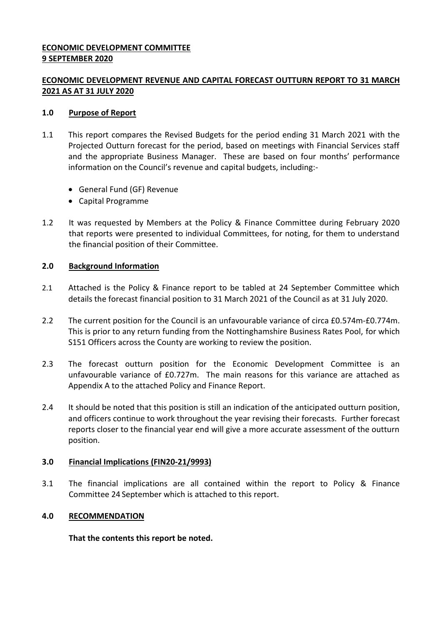### **ECONOMIC DEVELOPMENT COMMITTEE 9 SEPTEMBER 2020**

## **ECONOMIC DEVELOPMENT REVENUE AND CAPITAL FORECAST OUTTURN REPORT TO 31 MARCH 2021 AS AT 31 JULY 2020**

### **1.0 Purpose of Report**

- 1.1 This report compares the Revised Budgets for the period ending 31 March 2021 with the Projected Outturn forecast for the period, based on meetings with Financial Services staff and the appropriate Business Manager. These are based on four months' performance information on the Council's revenue and capital budgets, including:-
	- General Fund (GF) Revenue
	- Capital Programme
- 1.2 It was requested by Members at the Policy & Finance Committee during February 2020 that reports were presented to individual Committees, for noting, for them to understand the financial position of their Committee.

## **2.0 Background Information**

- 2.1 Attached is the Policy & Finance report to be tabled at 24 September Committee which details the forecast financial position to 31 March 2021 of the Council as at 31 July 2020.
- 2.2 The current position for the Council is an unfavourable variance of circa £0.574m-£0.774m. This is prior to any return funding from the Nottinghamshire Business Rates Pool, for which S151 Officers across the County are working to review the position.
- 2.3 The forecast outturn position for the Economic Development Committee is an unfavourable variance of £0.727m. The main reasons for this variance are attached as Appendix A to the attached Policy and Finance Report.
- 2.4 It should be noted that this position is still an indication of the anticipated outturn position, and officers continue to work throughout the year revising their forecasts. Further forecast reports closer to the financial year end will give a more accurate assessment of the outturn position.

#### **3.0 Financial Implications (FIN20-21/9993)**

3.1 The financial implications are all contained within the report to Policy & Finance Committee 24 September which is attached to this report.

#### **4.0 RECOMMENDATION**

**That the contents this report be noted.**